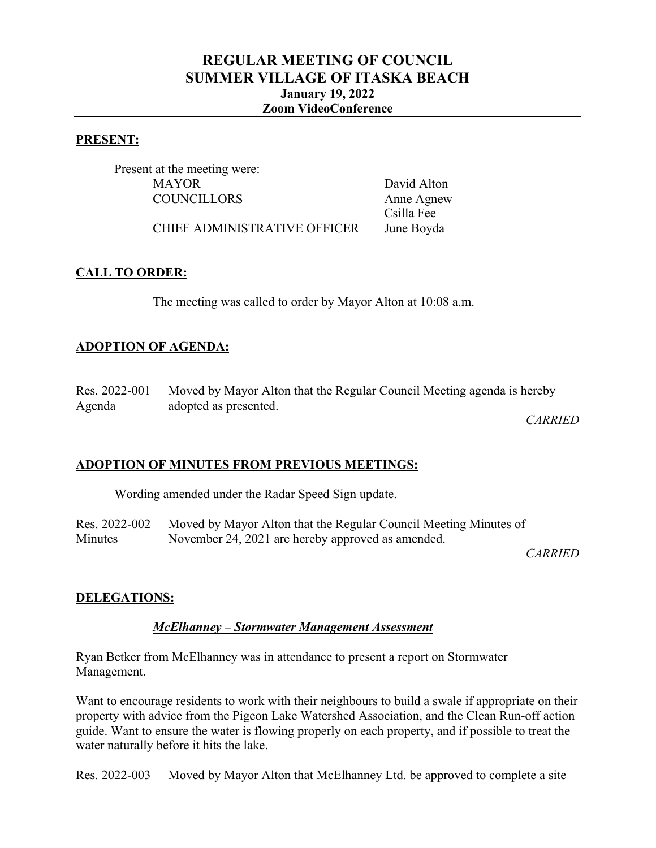# **REGULAR MEETING OF COUNCIL SUMMER VILLAGE OF ITASKA BEACH January 19, 2022 Zoom VideoConference**

#### **PRESENT:**

Present at the meeting were: MAYOR David Alton COUNCILLORS Anne Agnew

Csilla Fee

CHIEF ADMINISTRATIVE OFFICER June Boyda

### **CALL TO ORDER:**

The meeting was called to order by Mayor Alton at 10:08 a.m.

# **ADOPTION OF AGENDA:**

Res. 2022-001 Agenda Moved by Mayor Alton that the Regular Council Meeting agenda is hereby adopted as presented.

*CARRIED*

# **ADOPTION OF MINUTES FROM PREVIOUS MEETINGS:**

Wording amended under the Radar Speed Sign update.

Res. 2022-002 **Minutes** Moved by Mayor Alton that the Regular Council Meeting Minutes of November 24, 2021 are hereby approved as amended.

*CARRIED*

# **DELEGATIONS:**

#### *McElhanney – Stormwater Management Assessment*

Ryan Betker from McElhanney was in attendance to present a report on Stormwater Management.

Want to encourage residents to work with their neighbours to build a swale if appropriate on their property with advice from the Pigeon Lake Watershed Association, and the Clean Run-off action guide. Want to ensure the water is flowing properly on each property, and if possible to treat the water naturally before it hits the lake.

Res. 2022-003 Moved by Mayor Alton that McElhanney Ltd. be approved to complete a site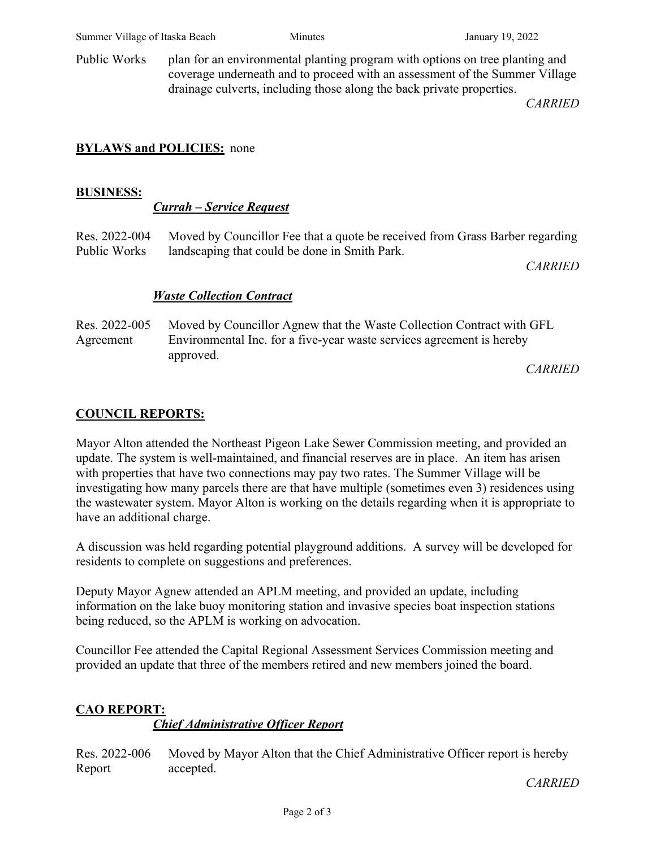Public Works plan for an environmental planting program with options on tree planting and coverage underneath and to proceed with an assessment of the Summer Village drainage culverts, including those along the back private properties.

*CARRIED*

# **BYLAWS and POLICIES:** none

### **BUSINESS:**

### *Currah – Service Request*

Res. 2022-004 Public Works Moved by Councillor Fee that a quote be received from Grass Barber regarding landscaping that could be done in Smith Park.

*CARRIED*

# *Waste Collection Contract*

Res. 2022-005 Agreement Moved by Councillor Agnew that the Waste Collection Contract with GFL Environmental Inc. for a five-year waste services agreement is hereby approved.

*CARRIED*

# **COUNCIL REPORTS:**

Mayor Alton attended the Northeast Pigeon Lake Sewer Commission meeting, and provided an update. The system is well-maintained, and financial reserves are in place. An item has arisen with properties that have two connections may pay two rates. The Summer Village will be investigating how many parcels there are that have multiple (sometimes even 3) residences using the wastewater system. Mayor Alton is working on the details regarding when it is appropriate to have an additional charge.

A discussion was held regarding potential playground additions. A survey will be developed for residents to complete on suggestions and preferences.

Deputy Mayor Agnew attended an APLM meeting, and provided an update, including information on the lake buoy monitoring station and invasive species boat inspection stations being reduced, so the APLM is working on advocation.

Councillor Fee attended the Capital Regional Assessment Services Commission meeting and provided an update that three of the members retired and new members joined the board.

# **CAO REPORT:**

# *Chief Administrative Officer Report*

Res. 2022-006 Report Moved by Mayor Alton that the Chief Administrative Officer report is hereby accepted.

*CARRIED*